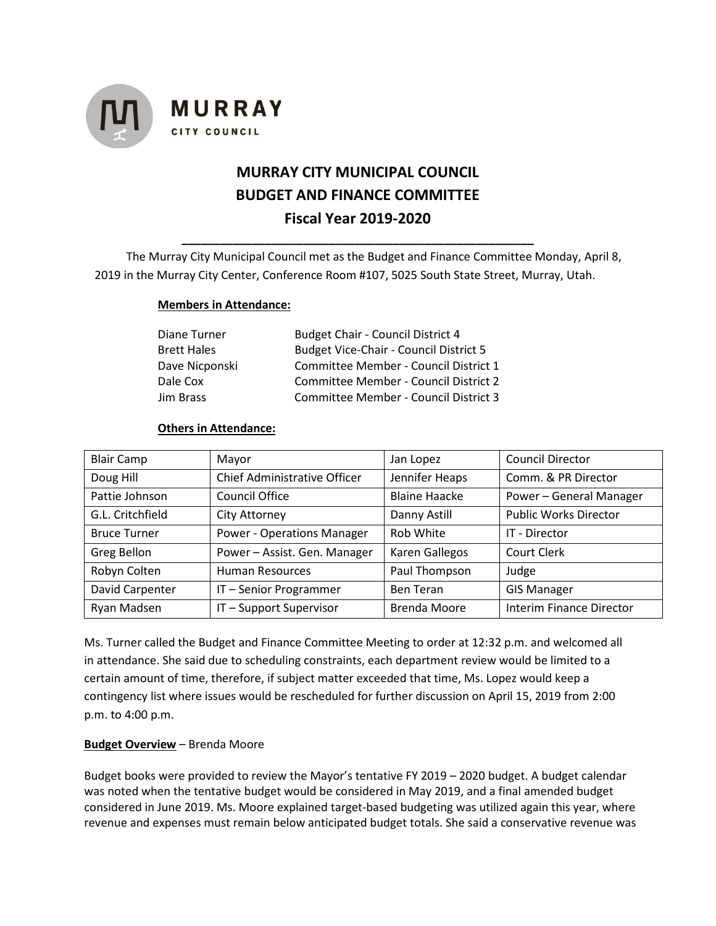

# **MURRAY CITY MUNICIPAL COUNCIL BUDGET AND FINANCE COMMITTEE Fiscal Year 2019-2020**

The Murray City Municipal Council met as the Budget and Finance Committee Monday, April 8, 2019 in the Murray City Center, Conference Room #107, 5025 South State Street, Murray, Utah.

**\_\_\_\_\_\_\_\_\_\_\_\_\_\_\_\_\_\_\_\_\_\_\_\_\_\_\_\_\_\_\_\_\_\_\_\_\_\_\_\_\_\_\_\_\_\_\_\_\_\_\_\_\_\_\_**

#### **Members in Attendance:**

| Diane Turner   | <b>Budget Chair - Council District 4</b>      |
|----------------|-----------------------------------------------|
| Brett Hales    | <b>Budget Vice-Chair - Council District 5</b> |
| Dave Nicponski | Committee Member - Council District 1         |
| Dale Cox       | Committee Member - Council District 2         |
| Jim Brass      | Committee Member - Council District 3         |

#### **Others in Attendance:**

| <b>Blair Camp</b>   | Mayor                             | Jan Lopez            | <b>Council Director</b>         |
|---------------------|-----------------------------------|----------------------|---------------------------------|
| Doug Hill           | Chief Administrative Officer      | Jennifer Heaps       | Comm. & PR Director             |
| Pattie Johnson      | Council Office                    | <b>Blaine Haacke</b> | Power - General Manager         |
| G.L. Critchfield    | City Attorney                     | Danny Astill         | <b>Public Works Director</b>    |
| <b>Bruce Turner</b> | <b>Power - Operations Manager</b> | Rob White            | IT - Director                   |
| Greg Bellon         | Power - Assist. Gen. Manager      | Karen Gallegos       | Court Clerk                     |
| Robyn Colten        | Human Resources                   | Paul Thompson        | Judge                           |
| David Carpenter     | IT-Senior Programmer              | <b>Ben Teran</b>     | <b>GIS Manager</b>              |
| Ryan Madsen         | IT-Support Supervisor             | <b>Brenda Moore</b>  | <b>Interim Finance Director</b> |

Ms. Turner called the Budget and Finance Committee Meeting to order at 12:32 p.m. and welcomed all in attendance. She said due to scheduling constraints, each department review would be limited to a certain amount of time, therefore, if subject matter exceeded that time, Ms. Lopez would keep a contingency list where issues would be rescheduled for further discussion on April 15, 2019 from 2:00 p.m. to 4:00 p.m.

#### **Budget Overview** – Brenda Moore

Budget books were provided to review the Mayor's tentative FY 2019 – 2020 budget. A budget calendar was noted when the tentative budget would be considered in May 2019, and a final amended budget considered in June 2019. Ms. Moore explained target-based budgeting was utilized again this year, where revenue and expenses must remain below anticipated budget totals. She said a conservative revenue was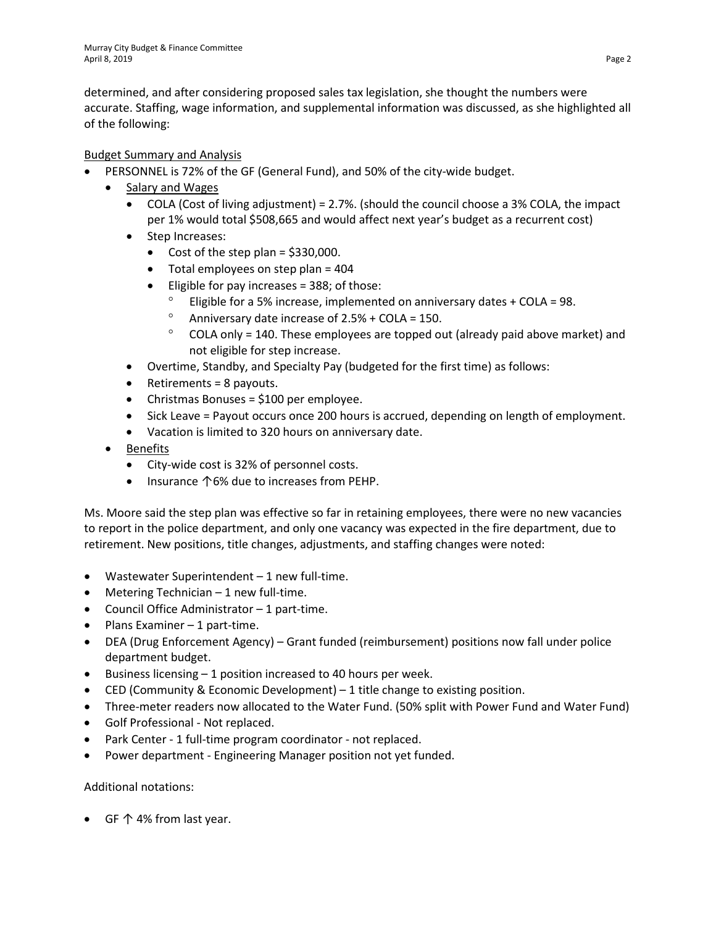determined, and after considering proposed sales tax legislation, she thought the numbers were accurate. Staffing, wage information, and supplemental information was discussed, as she highlighted all of the following:

# Budget Summary and Analysis

- PERSONNEL is 72% of the GF (General Fund), and 50% of the city-wide budget.
	- Salary and Wages
		- COLA (Cost of living adjustment) = 2.7%. (should the council choose a 3% COLA, the impact per 1% would total \$508,665 and would affect next year's budget as a recurrent cost)
		- Step Increases:
			- Cost of the step plan =  $$330,000$ .
			- Total employees on step plan = 404
			- $\bullet$  Eligible for pay increases = 388; of those:
				- Eligible for a 5% increase, implemented on anniversary dates + COLA = 98.
				- $^{\circ}$  Anniversary date increase of 2.5% + COLA = 150.
				- ° COLA only = 140. These employees are topped out (already paid above market) and not eligible for step increase.
		- Overtime, Standby, and Specialty Pay (budgeted for the first time) as follows:
		- Retirements = 8 payouts.
		- Christmas Bonuses = \$100 per employee.
		- Sick Leave = Payout occurs once 200 hours is accrued, depending on length of employment.
		- Vacation is limited to 320 hours on anniversary date.
	- Benefits
		- City-wide cost is 32% of personnel costs.
		- Insurance ↑6% due to increases from PEHP.

Ms. Moore said the step plan was effective so far in retaining employees, there were no new vacancies to report in the police department, and only one vacancy was expected in the fire department, due to retirement. New positions, title changes, adjustments, and staffing changes were noted:

- Wastewater Superintendent 1 new full-time.
- Metering Technician 1 new full-time.
- Council Office Administrator 1 part-time.
- Plans Examiner 1 part-time.
- DEA (Drug Enforcement Agency) Grant funded (reimbursement) positions now fall under police department budget.
- Business licensing 1 position increased to 40 hours per week.
- CED (Community & Economic Development) 1 title change to existing position.
- Three-meter readers now allocated to the Water Fund. (50% split with Power Fund and Water Fund)
- Golf Professional Not replaced.
- Park Center 1 full-time program coordinator not replaced.
- Power department Engineering Manager position not yet funded.

# Additional notations:

• GF ↑ 4% from last year.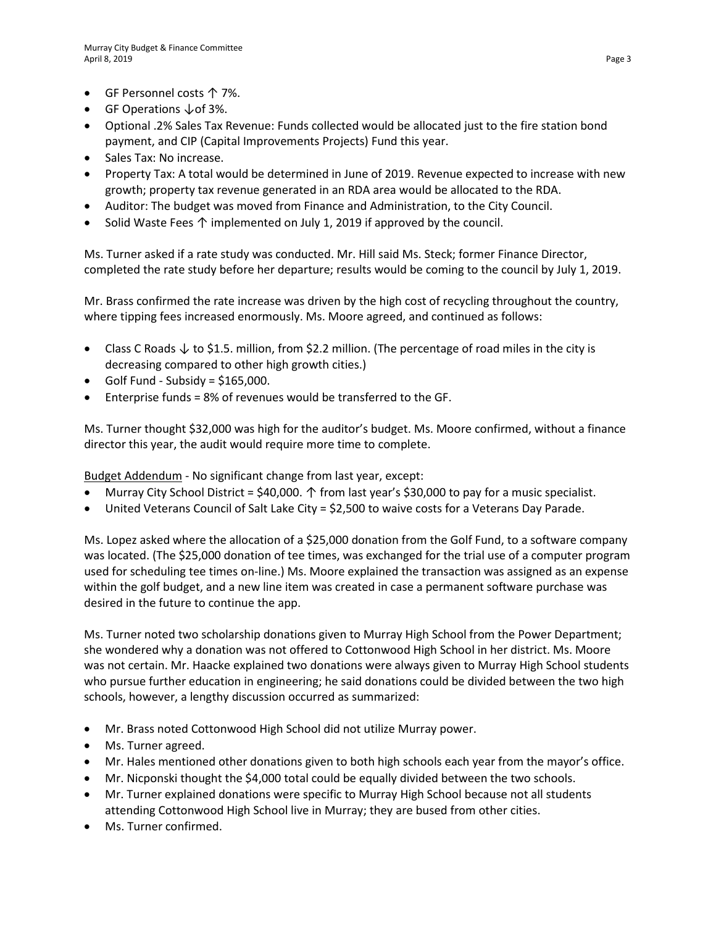- GF Personnel costs ↑ 7%.
- GF Operations ↓of 3%.
- Optional .2% Sales Tax Revenue: Funds collected would be allocated just to the fire station bond payment, and CIP (Capital Improvements Projects) Fund this year.
- Sales Tax: No increase.
- Property Tax: A total would be determined in June of 2019. Revenue expected to increase with new growth; property tax revenue generated in an RDA area would be allocated to the RDA.
- Auditor: The budget was moved from Finance and Administration, to the City Council.
- Solid Waste Fees ↑ implemented on July 1, 2019 if approved by the council.

Ms. Turner asked if a rate study was conducted. Mr. Hill said Ms. Steck; former Finance Director, completed the rate study before her departure; results would be coming to the council by July 1, 2019.

Mr. Brass confirmed the rate increase was driven by the high cost of recycling throughout the country, where tipping fees increased enormously. Ms. Moore agreed, and continued as follows:

- Class C Roads ↓ to \$1.5. million, from \$2.2 million. (The percentage of road miles in the city is decreasing compared to other high growth cities.)
- $\bullet$  Golf Fund Subsidy = \$165,000.
- Enterprise funds = 8% of revenues would be transferred to the GF.

Ms. Turner thought \$32,000 was high for the auditor's budget. Ms. Moore confirmed, without a finance director this year, the audit would require more time to complete.

Budget Addendum - No significant change from last year, except:

- Murray City School District = \$40,000.  $\uparrow$  from last year's \$30,000 to pay for a music specialist.
- United Veterans Council of Salt Lake City = \$2,500 to waive costs for a Veterans Day Parade.

Ms. Lopez asked where the allocation of a \$25,000 donation from the Golf Fund, to a software company was located. (The \$25,000 donation of tee times, was exchanged for the trial use of a computer program used for scheduling tee times on-line.) Ms. Moore explained the transaction was assigned as an expense within the golf budget, and a new line item was created in case a permanent software purchase was desired in the future to continue the app.

Ms. Turner noted two scholarship donations given to Murray High School from the Power Department; she wondered why a donation was not offered to Cottonwood High School in her district. Ms. Moore was not certain. Mr. Haacke explained two donations were always given to Murray High School students who pursue further education in engineering; he said donations could be divided between the two high schools, however, a lengthy discussion occurred as summarized:

- Mr. Brass noted Cottonwood High School did not utilize Murray power.
- Ms. Turner agreed.
- Mr. Hales mentioned other donations given to both high schools each year from the mayor's office.
- Mr. Nicponski thought the \$4,000 total could be equally divided between the two schools.
- Mr. Turner explained donations were specific to Murray High School because not all students attending Cottonwood High School live in Murray; they are bused from other cities.
- Ms. Turner confirmed.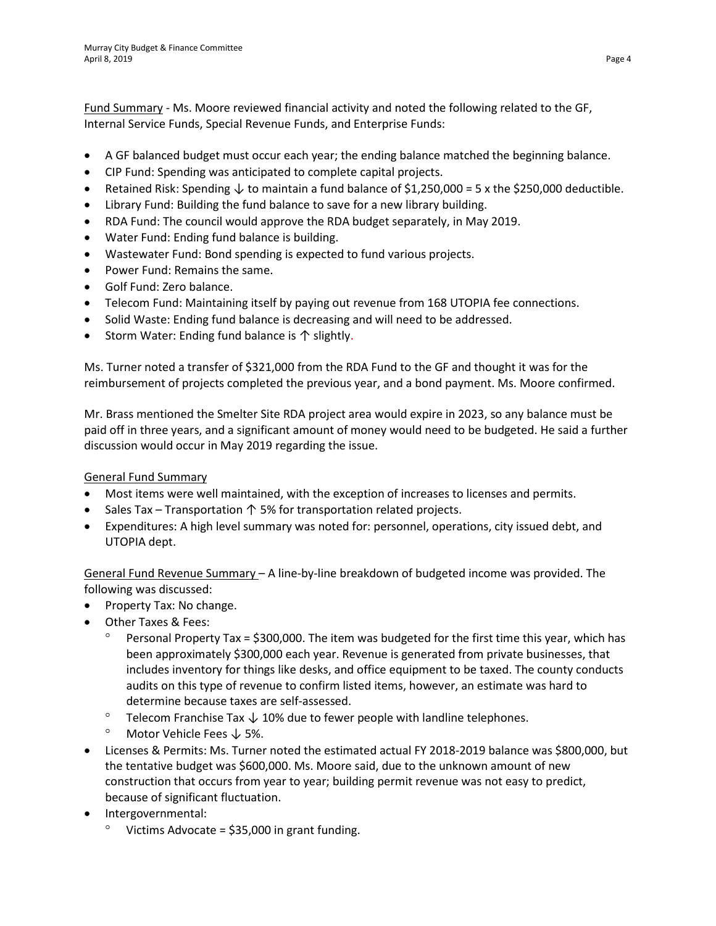Fund Summary - Ms. Moore reviewed financial activity and noted the following related to the GF, Internal Service Funds, Special Revenue Funds, and Enterprise Funds:

- A GF balanced budget must occur each year; the ending balance matched the beginning balance.
- CIP Fund: Spending was anticipated to complete capital projects.
- Retained Risk: Spending  $\downarrow$  to maintain a fund balance of \$1,250,000 = 5 x the \$250,000 deductible.
- Library Fund: Building the fund balance to save for a new library building.
- RDA Fund: The council would approve the RDA budget separately, in May 2019.
- Water Fund: Ending fund balance is building.
- Wastewater Fund: Bond spending is expected to fund various projects.
- Power Fund: Remains the same.
- Golf Fund: Zero balance.
- Telecom Fund: Maintaining itself by paying out revenue from 168 UTOPIA fee connections.
- Solid Waste: Ending fund balance is decreasing and will need to be addressed.
- Storm Water: Ending fund balance is ↑ slightly.

Ms. Turner noted a transfer of \$321,000 from the RDA Fund to the GF and thought it was for the reimbursement of projects completed the previous year, and a bond payment. Ms. Moore confirmed.

Mr. Brass mentioned the Smelter Site RDA project area would expire in 2023, so any balance must be paid off in three years, and a significant amount of money would need to be budgeted. He said a further discussion would occur in May 2019 regarding the issue.

# General Fund Summary

- Most items were well maintained, with the exception of increases to licenses and permits.
- Sales Tax Transportation  $\uparrow$  5% for transportation related projects.
- Expenditures: A high level summary was noted for: personnel, operations, city issued debt, and UTOPIA dept.

General Fund Revenue Summary – A line-by-line breakdown of budgeted income was provided. The following was discussed:

- Property Tax: No change.
- Other Taxes & Fees:
	- ° Personal Property Tax = \$300,000. The item was budgeted for the first time this year, which has been approximately \$300,000 each year. Revenue is generated from private businesses, that includes inventory for things like desks, and office equipment to be taxed. The county conducts audits on this type of revenue to confirm listed items, however, an estimate was hard to determine because taxes are self-assessed.
	- ° Telecom Franchise Tax  $\downarrow$  10% due to fewer people with landline telephones.
	- ° Motor Vehicle Fees ↓ 5%.
- Licenses & Permits: Ms. Turner noted the estimated actual FY 2018-2019 balance was \$800,000, but the tentative budget was \$600,000. Ms. Moore said, due to the unknown amount of new construction that occurs from year to year; building permit revenue was not easy to predict, because of significant fluctuation.
- Intergovernmental:
	- $\degree$  Victims Advocate = \$35,000 in grant funding.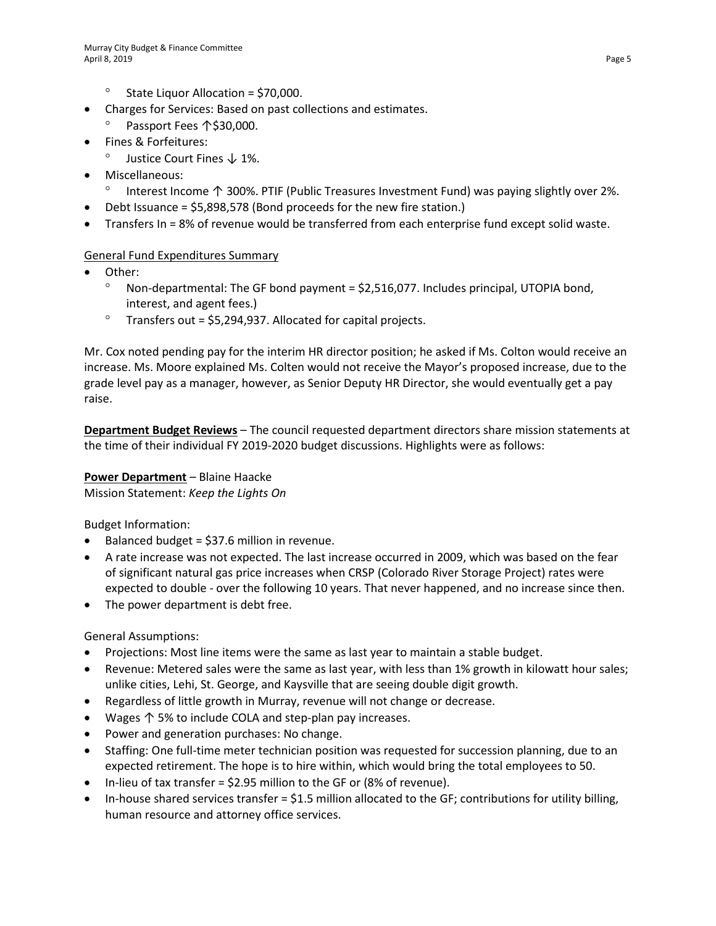- ° State Liquor Allocation = \$70,000.
- Charges for Services: Based on past collections and estimates.
	- Passport Fees 个\$30,000.
- Fines & Forfeitures:
	- ° Justice Court Fines ↓ 1%.
- Miscellaneous:
	- ° Interest Income ↑ 300%. PTIF (Public Treasures Investment Fund) was paying slightly over 2%.
- Debt Issuance = \$5,898,578 (Bond proceeds for the new fire station.)
- Transfers In = 8% of revenue would be transferred from each enterprise fund except solid waste.

#### General Fund Expenditures Summary

- Other:
	- $\degree$  Non-departmental: The GF bond payment = \$2,516,077. Includes principal, UTOPIA bond, interest, and agent fees.)
	- $\degree$  Transfers out = \$5,294,937. Allocated for capital projects.

Mr. Cox noted pending pay for the interim HR director position; he asked if Ms. Colton would receive an increase. Ms. Moore explained Ms. Colten would not receive the Mayor's proposed increase, due to the grade level pay as a manager, however, as Senior Deputy HR Director, she would eventually get a pay raise.

**Department Budget Reviews** – The council requested department directors share mission statements at the time of their individual FY 2019-2020 budget discussions. Highlights were as follows:

# **Power Department** – Blaine Haacke

Mission Statement: *Keep the Lights On*

Budget Information:

- Balanced budget = \$37.6 million in revenue.
- A rate increase was not expected. The last increase occurred in 2009, which was based on the fear of significant natural gas price increases when CRSP (Colorado River Storage Project) rates were expected to double - over the following 10 years. That never happened, and no increase since then.
- The power department is debt free.

General Assumptions:

- Projections: Most line items were the same as last year to maintain a stable budget.
- Revenue: Metered sales were the same as last year, with less than 1% growth in kilowatt hour sales; unlike cities, Lehi, St. George, and Kaysville that are seeing double digit growth.
- Regardless of little growth in Murray, revenue will not change or decrease.
- Wages ↑ 5% to include COLA and step-plan pay increases.
- Power and generation purchases: No change.
- Staffing: One full-time meter technician position was requested for succession planning, due to an expected retirement. The hope is to hire within, which would bring the total employees to 50.
- In-lieu of tax transfer =  $$2.95$  million to the GF or (8% of revenue).
- In-house shared services transfer  $=$  \$1.5 million allocated to the GF; contributions for utility billing, human resource and attorney office services.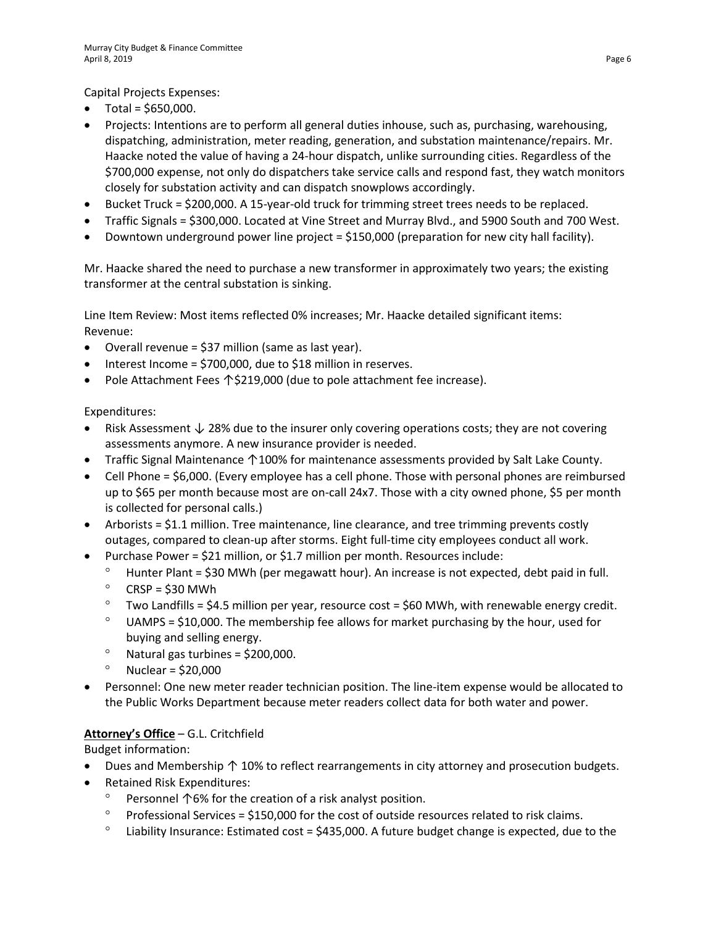Capital Projects Expenses:

- Total = \$650,000.
- Projects: Intentions are to perform all general duties inhouse, such as, purchasing, warehousing, dispatching, administration, meter reading, generation, and substation maintenance/repairs. Mr. Haacke noted the value of having a 24-hour dispatch, unlike surrounding cities. Regardless of the \$700,000 expense, not only do dispatchers take service calls and respond fast, they watch monitors closely for substation activity and can dispatch snowplows accordingly.
- Bucket Truck = \$200,000. A 15-year-old truck for trimming street trees needs to be replaced.
- Traffic Signals = \$300,000. Located at Vine Street and Murray Blvd., and 5900 South and 700 West.
- Downtown underground power line project = \$150,000 (preparation for new city hall facility).

Mr. Haacke shared the need to purchase a new transformer in approximately two years; the existing transformer at the central substation is sinking.

Line Item Review: Most items reflected 0% increases; Mr. Haacke detailed significant items: Revenue:

- Overall revenue = \$37 million (same as last year).
- Interest Income = \$700,000, due to \$18 million in reserves.
- Pole Attachment Fees ↑\$219,000 (due to pole attachment fee increase).

Expenditures:

- Risk Assessment ↓ 28% due to the insurer only covering operations costs; they are not covering assessments anymore. A new insurance provider is needed.
- Traffic Signal Maintenance ↑100% for maintenance assessments provided by Salt Lake County.
- Cell Phone = \$6,000. (Every employee has a cell phone. Those with personal phones are reimbursed up to \$65 per month because most are on-call 24x7. Those with a city owned phone, \$5 per month is collected for personal calls.)
- Arborists = \$1.1 million. Tree maintenance, line clearance, and tree trimming prevents costly outages, compared to clean-up after storms. Eight full-time city employees conduct all work.
- Purchase Power = \$21 million, or \$1.7 million per month. Resources include:
	- ° Hunter Plant = \$30 MWh (per megawatt hour). An increase is not expected, debt paid in full.
	- $\degree$  CRSP = \$30 MWh
	- $\degree$  Two Landfills = \$4.5 million per year, resource cost = \$60 MWh, with renewable energy credit.
	- $\degree$  UAMPS = \$10,000. The membership fee allows for market purchasing by the hour, used for buying and selling energy.
	- $^{\circ}$  Natural gas turbines = \$200,000.
	- $^{\circ}$  Nuclear = \$20,000
- Personnel: One new meter reader technician position. The line-item expense would be allocated to the Public Works Department because meter readers collect data for both water and power.

# **Attorney's Office** – G.L. Critchfield

Budget information:

- Dues and Membership ↑ 10% to reflect rearrangements in city attorney and prosecution budgets.
- Retained Risk Expenditures:
	- ° Personnel ↑6% for the creation of a risk analyst position.
	- $\degree$  Professional Services = \$150,000 for the cost of outside resources related to risk claims.
	- $\degree$  Liability Insurance: Estimated cost = \$435,000. A future budget change is expected, due to the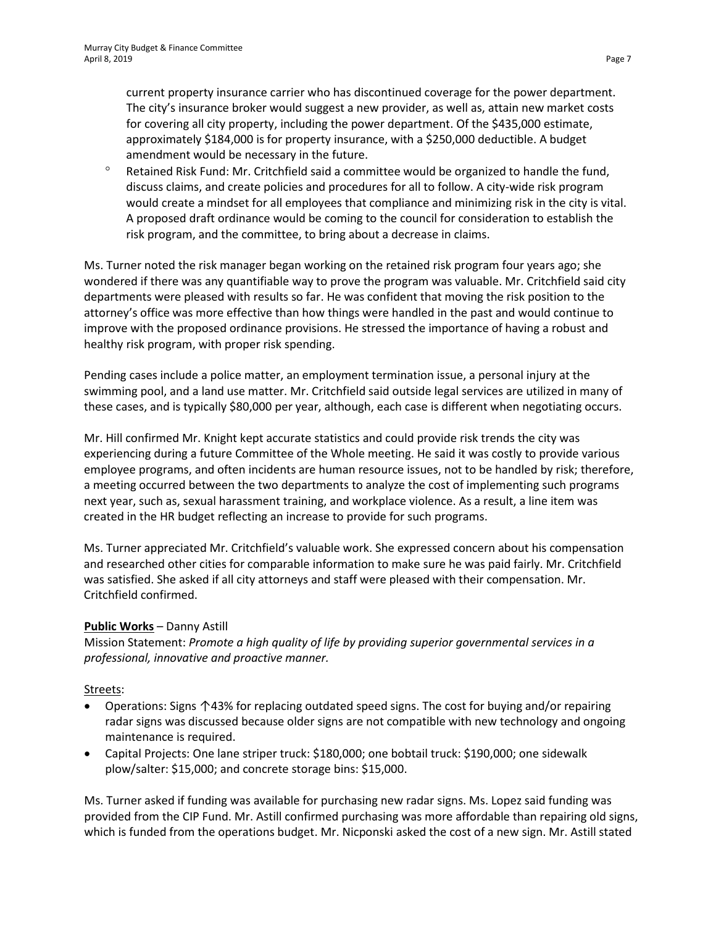current property insurance carrier who has discontinued coverage for the power department. The city's insurance broker would suggest a new provider, as well as, attain new market costs for covering all city property, including the power department. Of the \$435,000 estimate, approximately \$184,000 is for property insurance, with a \$250,000 deductible. A budget amendment would be necessary in the future.

° Retained Risk Fund: Mr. Critchfield said a committee would be organized to handle the fund, discuss claims, and create policies and procedures for all to follow. A city-wide risk program would create a mindset for all employees that compliance and minimizing risk in the city is vital. A proposed draft ordinance would be coming to the council for consideration to establish the risk program, and the committee, to bring about a decrease in claims.

Ms. Turner noted the risk manager began working on the retained risk program four years ago; she wondered if there was any quantifiable way to prove the program was valuable. Mr. Critchfield said city departments were pleased with results so far. He was confident that moving the risk position to the attorney's office was more effective than how things were handled in the past and would continue to improve with the proposed ordinance provisions. He stressed the importance of having a robust and healthy risk program, with proper risk spending.

Pending cases include a police matter, an employment termination issue, a personal injury at the swimming pool, and a land use matter. Mr. Critchfield said outside legal services are utilized in many of these cases, and is typically \$80,000 per year, although, each case is different when negotiating occurs.

Mr. Hill confirmed Mr. Knight kept accurate statistics and could provide risk trends the city was experiencing during a future Committee of the Whole meeting. He said it was costly to provide various employee programs, and often incidents are human resource issues, not to be handled by risk; therefore, a meeting occurred between the two departments to analyze the cost of implementing such programs next year, such as, sexual harassment training, and workplace violence. As a result, a line item was created in the HR budget reflecting an increase to provide for such programs.

Ms. Turner appreciated Mr. Critchfield's valuable work. She expressed concern about his compensation and researched other cities for comparable information to make sure he was paid fairly. Mr. Critchfield was satisfied. She asked if all city attorneys and staff were pleased with their compensation. Mr. Critchfield confirmed.

# **Public Works** – Danny Astill

Mission Statement: *Promote a high quality of life by providing superior governmental services in a professional, innovative and proactive manner.*

#### Streets:

- Operations: Signs ↑43% for replacing outdated speed signs. The cost for buying and/or repairing radar signs was discussed because older signs are not compatible with new technology and ongoing maintenance is required.
- Capital Projects: One lane striper truck: \$180,000; one bobtail truck: \$190,000; one sidewalk plow/salter: \$15,000; and concrete storage bins: \$15,000.

Ms. Turner asked if funding was available for purchasing new radar signs. Ms. Lopez said funding was provided from the CIP Fund. Mr. Astill confirmed purchasing was more affordable than repairing old signs, which is funded from the operations budget. Mr. Nicponski asked the cost of a new sign. Mr. Astill stated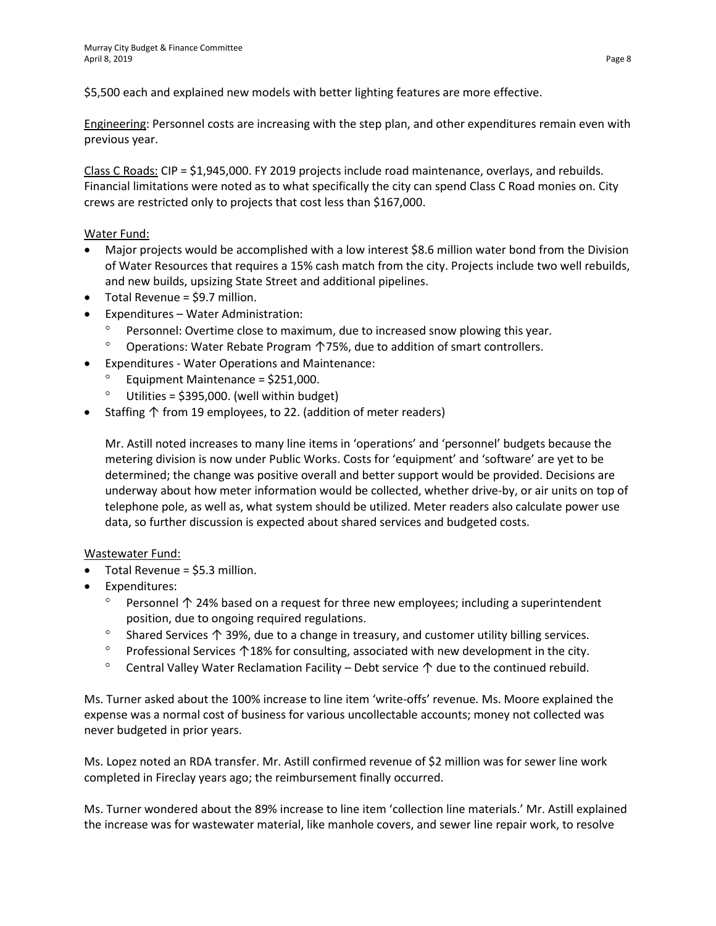\$5,500 each and explained new models with better lighting features are more effective.

Engineering: Personnel costs are increasing with the step plan, and other expenditures remain even with previous year.

Class C Roads: CIP = \$1,945,000. FY 2019 projects include road maintenance, overlays, and rebuilds. Financial limitations were noted as to what specifically the city can spend Class C Road monies on. City crews are restricted only to projects that cost less than \$167,000.

# Water Fund:

- Major projects would be accomplished with a low interest \$8.6 million water bond from the Division of Water Resources that requires a 15% cash match from the city. Projects include two well rebuilds, and new builds, upsizing State Street and additional pipelines.
- Total Revenue = \$9.7 million.
- Expenditures Water Administration:
	- Personnel: Overtime close to maximum, due to increased snow plowing this year.
	- ° Operations: Water Rebate Program ↑75%, due to addition of smart controllers.
- Expenditures Water Operations and Maintenance:
	- Equipment Maintenance = \$251,000.
	- Utilities = \$395,000. (well within budget)
- Staffing ↑ from 19 employees, to 22. (addition of meter readers)

Mr. Astill noted increases to many line items in 'operations' and 'personnel' budgets because the metering division is now under Public Works. Costs for 'equipment' and 'software' are yet to be determined; the change was positive overall and better support would be provided. Decisions are underway about how meter information would be collected, whether drive-by, or air units on top of telephone pole, as well as, what system should be utilized. Meter readers also calculate power use data, so further discussion is expected about shared services and budgeted costs.

# Wastewater Fund:

- Total Revenue = \$5.3 million.
- Expenditures:
	- Personnel ↑ 24% based on a request for three new employees; including a superintendent position, due to ongoing required regulations.
	- ° Shared Services ↑ 39%, due to a change in treasury, and customer utility billing services.
	- ° Professional Services ↑18% for consulting, associated with new development in the city.
	- ° Central Valley Water Reclamation Facility Debt service ↑ due to the continued rebuild.

Ms. Turner asked about the 100% increase to line item 'write-offs' revenue*.* Ms. Moore explained the expense was a normal cost of business for various uncollectable accounts; money not collected was never budgeted in prior years.

Ms. Lopez noted an RDA transfer. Mr. Astill confirmed revenue of \$2 million was for sewer line work completed in Fireclay years ago; the reimbursement finally occurred.

Ms. Turner wondered about the 89% increase to line item 'collection line materials.' Mr. Astill explained the increase was for wastewater material, like manhole covers, and sewer line repair work, to resolve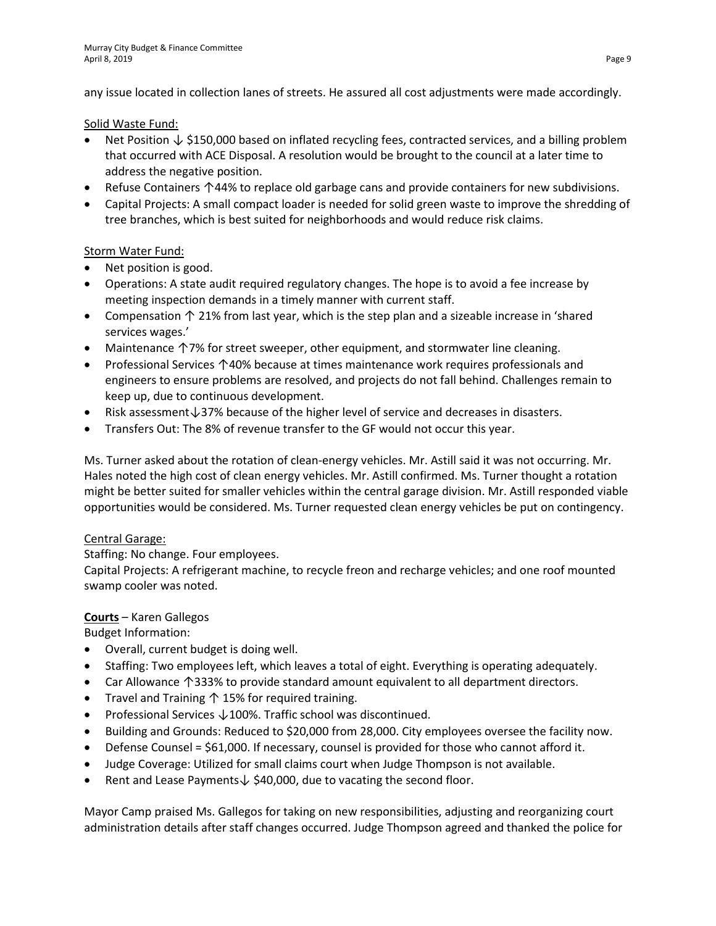any issue located in collection lanes of streets. He assured all cost adjustments were made accordingly.

#### Solid Waste Fund:

- Net Position ↓ \$150,000 based on inflated recycling fees, contracted services, and a billing problem that occurred with ACE Disposal. A resolution would be brought to the council at a later time to address the negative position.
- Refuse Containers ↑44% to replace old garbage cans and provide containers for new subdivisions.
- Capital Projects: A small compact loader is needed for solid green waste to improve the shredding of tree branches, which is best suited for neighborhoods and would reduce risk claims.

# Storm Water Fund:

- Net position is good.
- Operations: A state audit required regulatory changes. The hope is to avoid a fee increase by meeting inspection demands in a timely manner with current staff.
- Compensation ↑ 21% from last year, which is the step plan and a sizeable increase in 'shared services wages.'
- Maintenance ↑7% for street sweeper, other equipment, and stormwater line cleaning.
- Professional Services ↑40% because at times maintenance work requires professionals and engineers to ensure problems are resolved, and projects do not fall behind. Challenges remain to keep up, due to continuous development.
- Risk assessment↓37% because of the higher level of service and decreases in disasters.
- Transfers Out: The 8% of revenue transfer to the GF would not occur this year.

Ms. Turner asked about the rotation of clean-energy vehicles. Mr. Astill said it was not occurring. Mr. Hales noted the high cost of clean energy vehicles. Mr. Astill confirmed. Ms. Turner thought a rotation might be better suited for smaller vehicles within the central garage division. Mr. Astill responded viable opportunities would be considered. Ms. Turner requested clean energy vehicles be put on contingency.

# Central Garage:

Staffing: No change. Four employees.

Capital Projects: A refrigerant machine, to recycle freon and recharge vehicles; and one roof mounted swamp cooler was noted.

# **Courts** – Karen Gallegos

Budget Information:

- Overall, current budget is doing well.
- Staffing: Two employees left, which leaves a total of eight. Everything is operating adequately.
- Car Allowance ↑333% to provide standard amount equivalent to all department directors.
- Travel and Training ↑ 15% for required training.
- Professional Services ↓100%. Traffic school was discontinued.
- Building and Grounds: Reduced to \$20,000 from 28,000. City employees oversee the facility now.
- Defense Counsel = \$61,000. If necessary, counsel is provided for those who cannot afford it.
- Judge Coverage: Utilized for small claims court when Judge Thompson is not available.
- Rent and Lease Payments↓ \$40,000, due to vacating the second floor.

Mayor Camp praised Ms. Gallegos for taking on new responsibilities, adjusting and reorganizing court administration details after staff changes occurred. Judge Thompson agreed and thanked the police for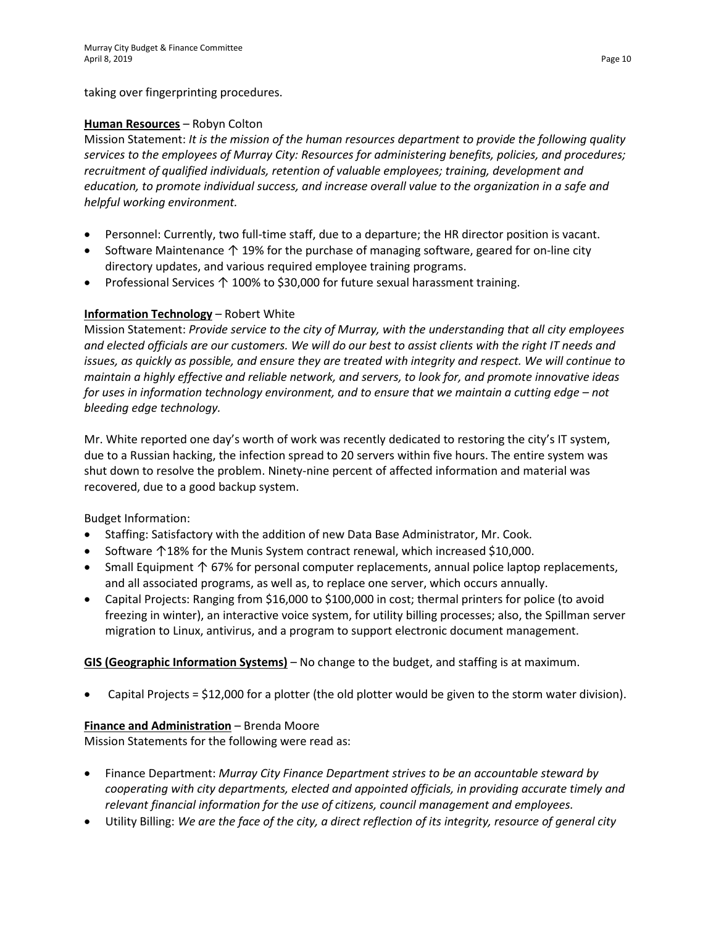taking over fingerprinting procedures.

#### **Human Resources** – Robyn Colton

Mission Statement: *It is the mission of the human resources department to provide the following quality services to the employees of Murray City: Resources for administering benefits, policies, and procedures; recruitment of qualified individuals, retention of valuable employees; training, development and education, to promote individual success, and increase overall value to the organization in a safe and helpful working environment.* 

- Personnel: Currently, two full-time staff, due to a departure; the HR director position is vacant.
- Software Maintenance ↑ 19% for the purchase of managing software, geared for on-line city directory updates, and various required employee training programs.
- Professional Services ↑ 100% to \$30,000 for future sexual harassment training.

# **Information Technology** – Robert White

Mission Statement: *Provide service to the city of Murray, with the understanding that all city employees and elected officials are our customers. We will do our best to assist clients with the right IT needs and issues, as quickly as possible, and ensure they are treated with integrity and respect. We will continue to maintain a highly effective and reliable network, and servers, to look for, and promote innovative ideas for uses in information technology environment, and to ensure that we maintain a cutting edge – not bleeding edge technology.*

Mr. White reported one day's worth of work was recently dedicated to restoring the city's IT system, due to a Russian hacking, the infection spread to 20 servers within five hours. The entire system was shut down to resolve the problem. Ninety-nine percent of affected information and material was recovered, due to a good backup system.

Budget Information:

- Staffing: Satisfactory with the addition of new Data Base Administrator, Mr. Cook.
- Software ↑18% for the Munis System contract renewal, which increased \$10,000.
- Small Equipment ↑ 67% for personal computer replacements, annual police laptop replacements, and all associated programs, as well as, to replace one server, which occurs annually.
- Capital Projects: Ranging from \$16,000 to \$100,000 in cost; thermal printers for police (to avoid freezing in winter), an interactive voice system, for utility billing processes; also, the Spillman server migration to Linux, antivirus, and a program to support electronic document management.

# **GIS (Geographic Information Systems)** – No change to the budget, and staffing is at maximum.

• Capital Projects = \$12,000 for a plotter (the old plotter would be given to the storm water division).

#### **Finance and Administration** – Brenda Moore

Mission Statements for the following were read as:

- Finance Department: *Murray City Finance Department strives to be an accountable steward by cooperating with city departments, elected and appointed officials, in providing accurate timely and relevant financial information for the use of citizens, council management and employees.*
- Utility Billing: *We are the face of the city, a direct reflection of its integrity, resource of general city*